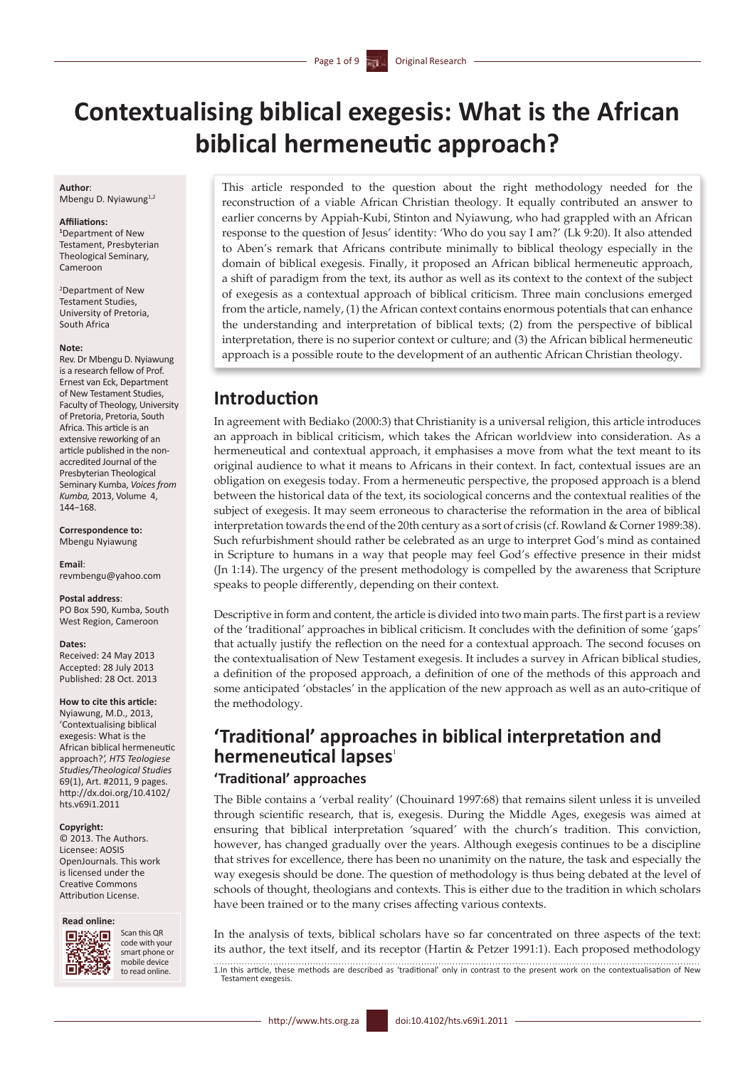# **Contextualising biblical exegesis: What is the African biblical hermeneutic approach?**

 $\overline{\phantom{a}}$ 

**Author**: Mbengu D. Nyiawung<sup>1,2</sup>

#### **Affiliations:**

**1** Department of New Testament, Presbyterian Theological Seminary, Cameroon

2 Department of New Testament Studies, University of Pretoria, South Africa

#### **Note:**

Rev. Dr Mbengu D. Nyiawung is a research fellow of Prof. Ernest van Eck, Department of New Testament Studies, Faculty of Theology, University of Pretoria, Pretoria, South Africa. This article is an extensive reworking of an article published in the nonaccredited Journal of the Presbyterian Theological Seminary Kumba, *Voices from Kumba,* 2013, Volume 4, 144−168.

**Correspondence to:** Mbengu Nyiawung

**Email**: [revmbengu@yahoo.com](mailto:revmbengu@yahoo.com)

**Postal address**: PO Box 590, Kumba, South West Region, Cameroon

#### **Dates:**

Received: 24 May 2013 Accepted: 28 July 2013 Published: 28 Oct. 2013

#### **How to cite this article:**

Nyiawung, M.D., 2013, 'Contextualising biblical exegesis: What is the African biblical hermeneutic approach?*', HTS Teologiese Studies/Theological Studies* 69(1), Art. #2011, 9 pages. [http://dx.doi.org/10.4102/](http://dx.doi.org/10.4102/hts.v69i1.2011) [hts.v69i1.2011](http://dx.doi.org/10.4102/hts.v69i1.2011)

#### **Copyright:**

© 2013. The Authors. Licensee: AOSIS OpenJournals. This work is licensed under the Creative Commons Attribution License.

#### **Read online:**



Scan this QR code with your smart phone or mobile device to read online.

This article responded to the question about the right methodology needed for the reconstruction of a viable African Christian theology. It equally contributed an answer to earlier concerns by Appiah-Kubi, Stinton and Nyiawung, who had grappled with an African response to the question of Jesus' identity: 'Who do you say I am?' (Lk 9:20). It also attended to Aben's remark that Africans contribute minimally to biblical theology especially in the domain of biblical exegesis. Finally, it proposed an African biblical hermeneutic approach, a shift of paradigm from the text, its author as well as its context to the context of the subject of exegesis as a contextual approach of biblical criticism. Three main conclusions emerged from the article, namely, (1) the African context contains enormous potentials that can enhance the understanding and interpretation of biblical texts; (2) from the perspective of biblical interpretation, there is no superior context or culture; and (3) the African biblical hermeneutic approach is a possible route to the development of an authentic African Christian theology.

### **Introduction**

In agreement with Bediako (2000:3) that Christianity is a universal religion, this article introduces an approach in biblical criticism, which takes the African worldview into consideration. As a hermeneutical and contextual approach, it emphasises a move from what the text meant to its original audience to what it means to Africans in their context. In fact, contextual issues are an obligation on exegesis today. From a hermeneutic perspective, the proposed approach is a blend between the historical data of the text, its sociological concerns and the contextual realities of the subject of exegesis. It may seem erroneous to characterise the reformation in the area of biblical interpretation towards the end of the 20th century as a sort of crisis (cf. Rowland & Corner 1989:38). Such refurbishment should rather be celebrated as an urge to interpret God's mind as contained in Scripture to humans in a way that people may feel God's effective presence in their midst (Jn 1:14). The urgency of the present methodology is compelled by the awareness that Scripture speaks to people differently, depending on their context.

Descriptive in form and content, the article is divided into two main parts. The first part is a review of the 'traditional' approaches in biblical criticism. It concludes with the definition of some 'gaps' that actually justify the reflection on the need for a contextual approach. The second focuses on the contextualisation of New Testament exegesis. It includes a survey in African biblical studies, a definition of the proposed approach, a definition of one of the methods of this approach and some anticipated 'obstacles' in the application of the new approach as well as an auto-critique of the methodology.

## **'Traditional' approaches in biblical interpretation and hermeneutical lapses**<sup>1</sup>

### **'Traditional' approaches**

The Bible contains a 'verbal reality' (Chouinard 1997:68) that remains silent unless it is unveiled through scientific research, that is, exegesis. During the Middle Ages, exegesis was aimed at ensuring that biblical interpretation 'squared' with the church's tradition. This conviction, however, has changed gradually over the years. Although exegesis continues to be a discipline that strives for excellence, there has been no unanimity on the nature, the task and especially the way exegesis should be done. The question of methodology is thus being debated at the level of schools of thought, theologians and contexts. This is either due to the tradition in which scholars have been trained or to the many crises affecting various contexts.

In the analysis of texts, biblical scholars have so far concentrated on three aspects of the text: its author, the text itself, and its receptor (Hartin & Petzer 1991:1). Each proposed methodology

1.In this article, these methods are described as 'traditional' only in contrast to the present work on the contextualisation of New Testament exegesis.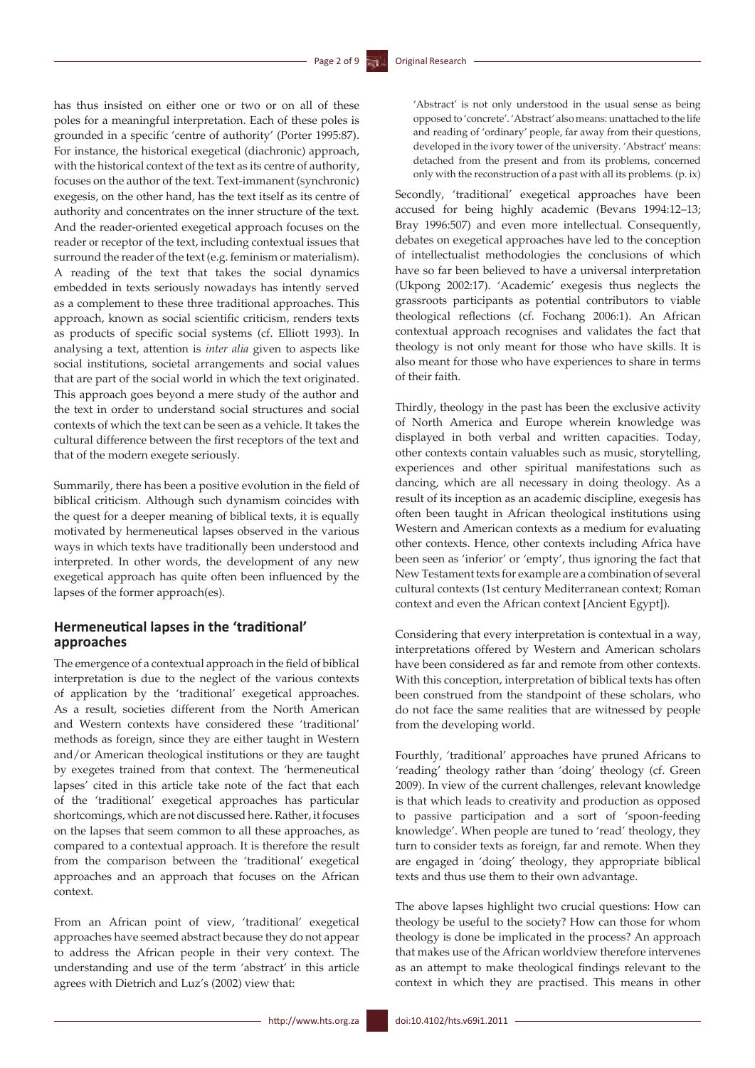has thus insisted on either one or two or on all of these poles for a meaningful interpretation. Each of these poles is grounded in a specific 'centre of authority' (Porter 1995:87). For instance, the historical exegetical (diachronic) approach, with the historical context of the text as its centre of authority, focuses on the author of the text. Text-immanent (synchronic) exegesis, on the other hand, has the text itself as its centre of authority and concentrates on the inner structure of the text. And the reader-oriented exegetical approach focuses on the reader or receptor of the text, including contextual issues that surround the reader of the text (e.g. feminism or materialism). A reading of the text that takes the social dynamics embedded in texts seriously nowadays has intently served as a complement to these three traditional approaches. This approach, known as social scientific criticism, renders texts as products of specific social systems (cf. Elliott 1993). In analysing a text, attention is *inter alia* given to aspects like social institutions, societal arrangements and social values that are part of the social world in which the text originated. This approach goes beyond a mere study of the author and the text in order to understand social structures and social contexts of which the text can be seen as a vehicle. It takes the cultural difference between the first receptors of the text and that of the modern exegete seriously.

Summarily, there has been a positive evolution in the field of biblical criticism. Although such dynamism coincides with the quest for a deeper meaning of biblical texts, it is equally motivated by hermeneutical lapses observed in the various ways in which texts have traditionally been understood and interpreted. In other words, the development of any new exegetical approach has quite often been influenced by the lapses of the former approach(es).

### **Hermeneutical lapses in the 'traditional' approaches**

The emergence of a contextual approach in the field of biblical interpretation is due to the neglect of the various contexts of application by the 'traditional' exegetical approaches. As a result, societies different from the North American and Western contexts have considered these 'traditional' methods as foreign, since they are either taught in Western and/or American theological institutions or they are taught by exegetes trained from that context. The 'hermeneutical lapses' cited in this article take note of the fact that each of the 'traditional' exegetical approaches has particular shortcomings, which are not discussed here. Rather, it focuses on the lapses that seem common to all these approaches, as compared to a contextual approach. It is therefore the result from the comparison between the 'traditional' exegetical approaches and an approach that focuses on the African context.

From an African point of view, 'traditional' exegetical approaches have seemed abstract because they do not appear to address the African people in their very context. The understanding and use of the term 'abstract' in this article agrees with Dietrich and Luz's (2002) view that:

'Abstract' is not only understood in the usual sense as being opposed to 'concrete'. 'Abstract' also means: unattached to the life and reading of 'ordinary' people, far away from their questions, developed in the ivory tower of the university. 'Abstract' means: detached from the present and from its problems, concerned only with the reconstruction of a past with all its problems. (p. ix)

Secondly, 'traditional' exegetical approaches have been accused for being highly academic (Bevans 1994:12–13; Bray 1996:507) and even more intellectual. Consequently, debates on exegetical approaches have led to the conception of intellectualist methodologies the conclusions of which have so far been believed to have a universal interpretation (Ukpong 2002:17). 'Academic' exegesis thus neglects the grassroots participants as potential contributors to viable theological reflections (cf. Fochang 2006:1). An African contextual approach recognises and validates the fact that theology is not only meant for those who have skills. It is also meant for those who have experiences to share in terms of their faith.

Thirdly, theology in the past has been the exclusive activity of North America and Europe wherein knowledge was displayed in both verbal and written capacities. Today, other contexts contain valuables such as music, storytelling, experiences and other spiritual manifestations such as dancing, which are all necessary in doing theology. As a result of its inception as an academic discipline, exegesis has often been taught in African theological institutions using Western and American contexts as a medium for evaluating other contexts. Hence, other contexts including Africa have been seen as 'inferior' or 'empty', thus ignoring the fact that New Testament texts for example are a combination of several cultural contexts (1st century Mediterranean context; Roman context and even the African context [Ancient Egypt]).

Considering that every interpretation is contextual in a way, interpretations offered by Western and American scholars have been considered as far and remote from other contexts. With this conception, interpretation of biblical texts has often been construed from the standpoint of these scholars, who do not face the same realities that are witnessed by people from the developing world.

Fourthly, 'traditional' approaches have pruned Africans to 'reading' theology rather than 'doing' theology (cf. Green 2009). In view of the current challenges, relevant knowledge is that which leads to creativity and production as opposed to passive participation and a sort of 'spoon-feeding knowledge'. When people are tuned to 'read' theology, they turn to consider texts as foreign, far and remote. When they are engaged in 'doing' theology, they appropriate biblical texts and thus use them to their own advantage.

The above lapses highlight two crucial questions: How can theology be useful to the society? How can those for whom theology is done be implicated in the process? An approach that makes use of the African worldview therefore intervenes as an attempt to make theological findings relevant to the context in which they are practised. This means in other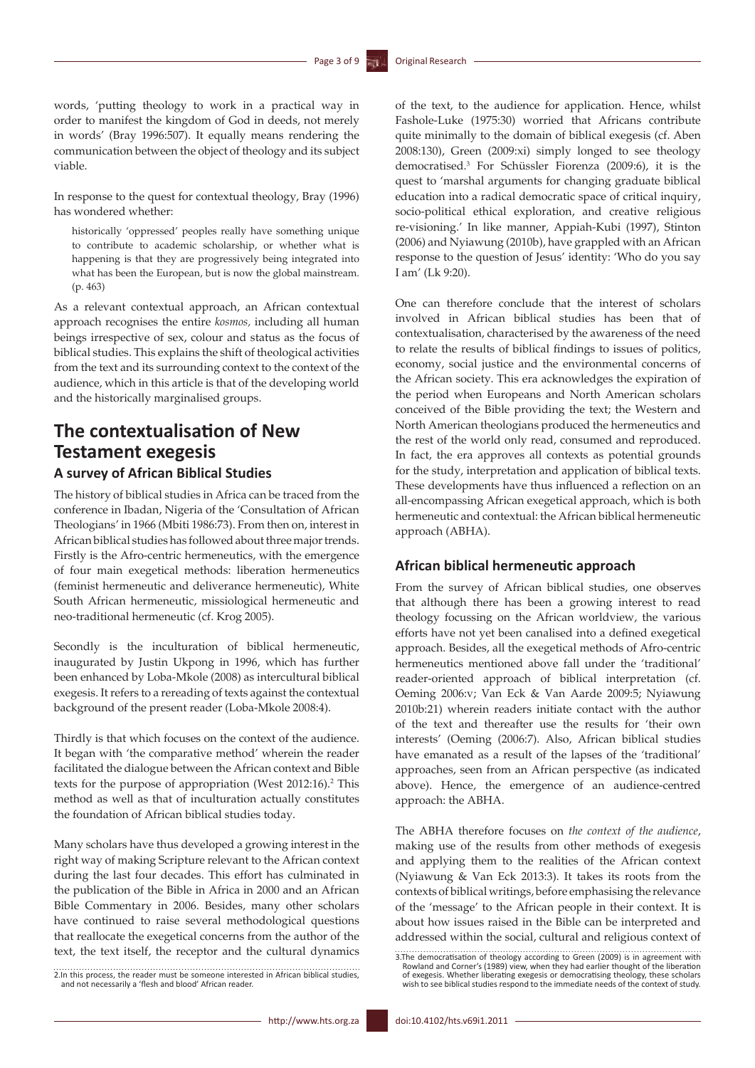words, 'putting theology to work in a practical way in order to manifest the kingdom of God in deeds, not merely in words' (Bray 1996:507). It equally means rendering the communication between the object of theology and its subject viable.

In response to the quest for contextual theology, Bray (1996) has wondered whether:

historically 'oppressed' peoples really have something unique to contribute to academic scholarship, or whether what is happening is that they are progressively being integrated into what has been the European, but is now the global mainstream. (p. 463)

As a relevant contextual approach, an African contextual approach recognises the entire *kosmos,* including all human beings irrespective of sex, colour and status as the focus of biblical studies. This explains the shift of theological activities from the text and its surrounding context to the context of the audience, which in this article is that of the developing world and the historically marginalised groups.

## **The contextualisation of New Testament exegesis**

### **A survey of African Biblical Studies**

The history of biblical studies in Africa can be traced from the conference in Ibadan, Nigeria of the 'Consultation of African Theologians' in 1966 (Mbiti 1986:73). From then on, interest in African biblical studies has followed about three major trends. Firstly is the Afro-centric hermeneutics, with the emergence of four main exegetical methods: liberation hermeneutics (feminist hermeneutic and deliverance hermeneutic), White South African hermeneutic, missiological hermeneutic and neo-traditional hermeneutic (cf. Krog 2005).

Secondly is the inculturation of biblical hermeneutic, inaugurated by Justin Ukpong in 1996, which has further been enhanced by Loba-Mkole (2008) as intercultural biblical exegesis. It refers to a rereading of texts against the contextual background of the present reader (Loba-Mkole 2008:4).

Thirdly is that which focuses on the context of the audience. It began with 'the comparative method' wherein the reader facilitated the dialogue between the African context and Bible texts for the purpose of appropriation (West 2012:16).<sup>2</sup> This method as well as that of inculturation actually constitutes the foundation of African biblical studies today.

Many scholars have thus developed a growing interest in the right way of making Scripture relevant to the African context during the last four decades. This effort has culminated in the publication of the Bible in Africa in 2000 and an African Bible Commentary in 2006. Besides, many other scholars have continued to raise several methodological questions that reallocate the exegetical concerns from the author of the text, the text itself, the receptor and the cultural dynamics

2.In this process, the reader must be someone interested in African biblical studies, and not necessarily a 'flesh and blood' African reader.

of the text, to the audience for application. Hence, whilst Fashole-Luke (1975:30) worried that Africans contribute quite minimally to the domain of biblical exegesis (cf. Aben 2008:130), Green (2009:xi) simply longed to see theology democratised.3 For Schüssler Fiorenza (2009:6), it is the quest to 'marshal arguments for changing graduate biblical education into a radical democratic space of critical inquiry, socio-political ethical exploration, and creative religious re-visioning.' In like manner, Appiah-Kubi (1997), Stinton (2006) and Nyiawung (2010b), have grappled with an African response to the question of Jesus' identity: 'Who do you say I am' (Lk 9:20).

One can therefore conclude that the interest of scholars involved in African biblical studies has been that of contextualisation, characterised by the awareness of the need to relate the results of biblical findings to issues of politics, economy, social justice and the environmental concerns of the African society. This era acknowledges the expiration of the period when Europeans and North American scholars conceived of the Bible providing the text; the Western and North American theologians produced the hermeneutics and the rest of the world only read, consumed and reproduced. In fact, the era approves all contexts as potential grounds for the study, interpretation and application of biblical texts. These developments have thus influenced a reflection on an all-encompassing African exegetical approach, which is both hermeneutic and contextual: the African biblical hermeneutic approach (ABHA).

### **African biblical hermeneutic approach**

From the survey of African biblical studies, one observes that although there has been a growing interest to read theology focussing on the African worldview, the various efforts have not yet been canalised into a defined exegetical approach. Besides, all the exegetical methods of Afro-centric hermeneutics mentioned above fall under the 'traditional' reader-oriented approach of biblical interpretation (cf. Oeming 2006:v; Van Eck & Van Aarde 2009:5; Nyiawung 2010b:21) wherein readers initiate contact with the author of the text and thereafter use the results for 'their own interests' (Oeming (2006:7). Also, African biblical studies have emanated as a result of the lapses of the 'traditional' approaches, seen from an African perspective (as indicated above). Hence, the emergence of an audience-centred approach: the ABHA.

The ABHA therefore focuses on *the context of the audience*, making use of the results from other methods of exegesis and applying them to the realities of the African context (Nyiawung & Van Eck 2013:3). It takes its roots from the contexts of biblical writings, before emphasising the relevance of the 'message' to the African people in their context. It is about how issues raised in the Bible can be interpreted and addressed within the social, cultural and religious context of

<sup>3.</sup> The democratisation of theology according to Green (2009) is in agreement with Rowland and Corner's (1989) view, when they had earlier thought of the liberation of exegesis. Whether liberating exegesis or democratising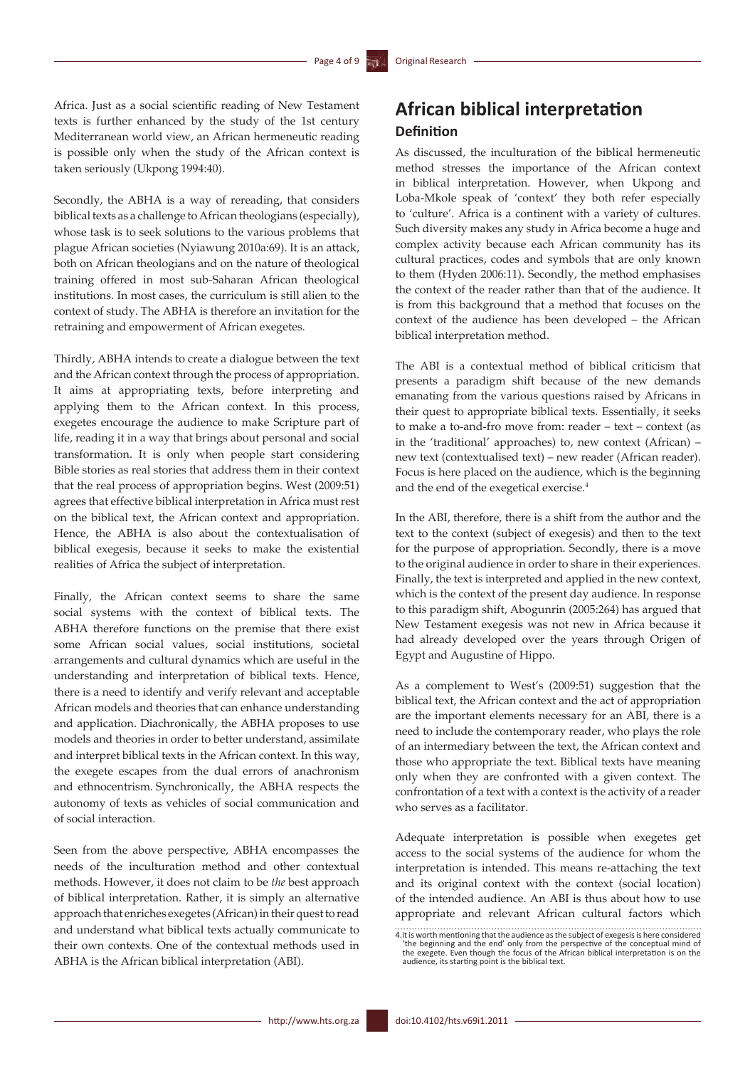Africa. Just as a social scientific reading of New Testament texts is further enhanced by the study of the 1st century Mediterranean world view, an African hermeneutic reading is possible only when the study of the African context is taken seriously (Ukpong 1994:40).

Secondly, the ABHA is a way of rereading, that considers biblical texts as a challenge to African theologians (especially), whose task is to seek solutions to the various problems that plague African societies (Nyiawung 2010a:69). It is an attack, both on African theologians and on the nature of theological training offered in most sub-Saharan African theological institutions. In most cases, the curriculum is still alien to the context of study. The ABHA is therefore an invitation for the retraining and empowerment of African exegetes.

Thirdly, ABHA intends to create a dialogue between the text and the African context through the process of appropriation. It aims at appropriating texts, before interpreting and applying them to the African context. In this process, exegetes encourage the audience to make Scripture part of life, reading it in a way that brings about personal and social transformation. It is only when people start considering Bible stories as real stories that address them in their context that the real process of appropriation begins. West (2009:51) agrees that effective biblical interpretation in Africa must rest on the biblical text, the African context and appropriation. Hence, the ABHA is also about the contextualisation of biblical exegesis, because it seeks to make the existential realities of Africa the subject of interpretation.

Finally, the African context seems to share the same social systems with the context of biblical texts. The ABHA therefore functions on the premise that there exist some African social values, social institutions, societal arrangements and cultural dynamics which are useful in the understanding and interpretation of biblical texts. Hence, there is a need to identify and verify relevant and acceptable African models and theories that can enhance understanding and application. Diachronically, the ABHA proposes to use models and theories in order to better understand, assimilate and interpret biblical texts in the African context. In this way, the exegete escapes from the dual errors of anachronism and ethnocentrism. Synchronically, the ABHA respects the autonomy of texts as vehicles of social communication and of social interaction.

Seen from the above perspective, ABHA encompasses the needs of the inculturation method and other contextual methods. However, it does not claim to be *the* best approach of biblical interpretation. Rather, it is simply an alternative approach that enriches exegetes (African) in their quest to read and understand what biblical texts actually communicate to their own contexts. One of the contextual methods used in ABHA is the African biblical interpretation (ABI).

## **African biblical interpretation Definition**

As discussed, the inculturation of the biblical hermeneutic method stresses the importance of the African context in biblical interpretation. However, when Ukpong and Loba-Mkole speak of 'context' they both refer especially to 'culture'. Africa is a continent with a variety of cultures. Such diversity makes any study in Africa become a huge and complex activity because each African community has its cultural practices, codes and symbols that are only known to them (Hyden 2006:11). Secondly, the method emphasises the context of the reader rather than that of the audience. It is from this background that a method that focuses on the context of the audience has been developed – the African biblical interpretation method.

The ABI is a contextual method of biblical criticism that presents a paradigm shift because of the new demands emanating from the various questions raised by Africans in their quest to appropriate biblical texts. Essentially, it seeks to make a to-and-fro move from: reader – text – context (as in the 'traditional' approaches) to, new context (African) – new text (contextualised text) – new reader (African reader). Focus is here placed on the audience, which is the beginning and the end of the exegetical exercise.4

In the ABI, therefore, there is a shift from the author and the text to the context (subject of exegesis) and then to the text for the purpose of appropriation. Secondly, there is a move to the original audience in order to share in their experiences. Finally, the text is interpreted and applied in the new context, which is the context of the present day audience. In response to this paradigm shift, Abogunrin (2005:264) has argued that New Testament exegesis was not new in Africa because it had already developed over the years through Origen of Egypt and Augustine of Hippo.

As a complement to West's (2009:51) suggestion that the biblical text, the African context and the act of appropriation are the important elements necessary for an ABI, there is a need to include the contemporary reader, who plays the role of an intermediary between the text, the African context and those who appropriate the text. Biblical texts have meaning only when they are confronted with a given context. The confrontation of a text with a context is the activity of a reader who serves as a facilitator.

Adequate interpretation is possible when exegetes get access to the social systems of the audience for whom the interpretation is intended. This means re-attaching the text and its original context with the context (social location) of the intended audience. An ABI is thus about how to use appropriate and relevant African cultural factors which

<sup>4.</sup>It is worth mentioning that the audience as the subject of exegesis is here considered 'the beginning and the end' only from the perspective of the conceptual mind of the exegete. Even though the focus of the African biblical interpretation is on the audience, its starting point is the biblical text.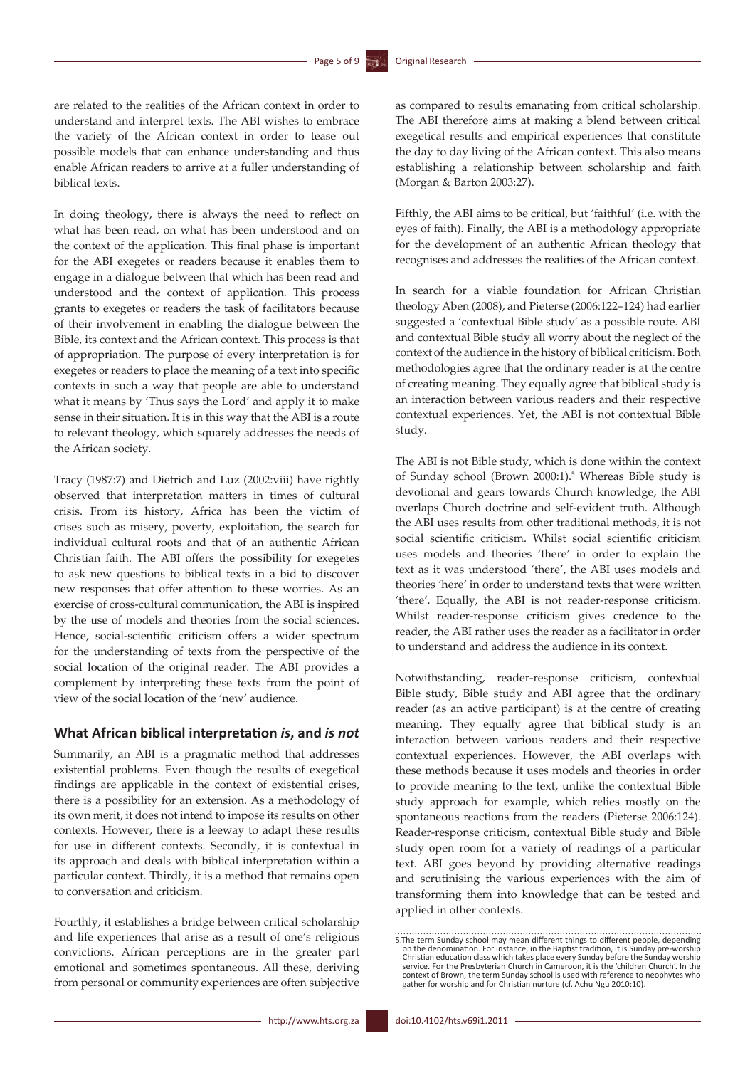are related to the realities of the African context in order to understand and interpret texts. The ABI wishes to embrace the variety of the African context in order to tease out possible models that can enhance understanding and thus enable African readers to arrive at a fuller understanding of biblical texts.

In doing theology, there is always the need to reflect on what has been read, on what has been understood and on the context of the application. This final phase is important for the ABI exegetes or readers because it enables them to engage in a dialogue between that which has been read and understood and the context of application. This process grants to exegetes or readers the task of facilitators because of their involvement in enabling the dialogue between the Bible, its context and the African context. This process is that of appropriation. The purpose of every interpretation is for exegetes or readers to place the meaning of a text into specific contexts in such a way that people are able to understand what it means by 'Thus says the Lord' and apply it to make sense in their situation. It is in this way that the ABI is a route to relevant theology, which squarely addresses the needs of the African society.

Tracy (1987:7) and Dietrich and Luz (2002:viii) have rightly observed that interpretation matters in times of cultural crisis. From its history, Africa has been the victim of crises such as misery, poverty, exploitation, the search for individual cultural roots and that of an authentic African Christian faith. The ABI offers the possibility for exegetes to ask new questions to biblical texts in a bid to discover new responses that offer attention to these worries. As an exercise of cross-cultural communication, the ABI is inspired by the use of models and theories from the social sciences. Hence, social-scientific criticism offers a wider spectrum for the understanding of texts from the perspective of the social location of the original reader. The ABI provides a complement by interpreting these texts from the point of view of the social location of the 'new' audience.

### **What African biblical interpretation** *is***, and** *is not*

Summarily, an ABI is a pragmatic method that addresses existential problems. Even though the results of exegetical findings are applicable in the context of existential crises, there is a possibility for an extension. As a methodology of its own merit, it does not intend to impose its results on other contexts. However, there is a leeway to adapt these results for use in different contexts. Secondly, it is contextual in its approach and deals with biblical interpretation within a particular context. Thirdly, it is a method that remains open to conversation and criticism.

Fourthly, it establishes a bridge between critical scholarship and life experiences that arise as a result of one's religious convictions. African perceptions are in the greater part emotional and sometimes spontaneous. All these, deriving from personal or community experiences are often subjective as compared to results emanating from critical scholarship. The ABI therefore aims at making a blend between critical exegetical results and empirical experiences that constitute the day to day living of the African context. This also means establishing a relationship between scholarship and faith (Morgan & Barton 2003:27).

Fifthly, the ABI aims to be critical, but 'faithful' (i.e. with the eyes of faith). Finally, the ABI is a methodology appropriate for the development of an authentic African theology that recognises and addresses the realities of the African context.

In search for a viable foundation for African Christian theology Aben (2008), and Pieterse (2006:122–124) had earlier suggested a 'contextual Bible study' as a possible route. ABI and contextual Bible study all worry about the neglect of the context of the audience in the history of biblical criticism. Both methodologies agree that the ordinary reader is at the centre of creating meaning. They equally agree that biblical study is an interaction between various readers and their respective contextual experiences. Yet, the ABI is not contextual Bible study.

The ABI is not Bible study, which is done within the context of Sunday school (Brown 2000:1).5 Whereas Bible study is devotional and gears towards Church knowledge, the ABI overlaps Church doctrine and self-evident truth. Although the ABI uses results from other traditional methods, it is not social scientific criticism. Whilst social scientific criticism uses models and theories 'there' in order to explain the text as it was understood 'there', the ABI uses models and theories 'here' in order to understand texts that were written 'there'. Equally, the ABI is not reader-response criticism. Whilst reader-response criticism gives credence to the reader, the ABI rather uses the reader as a facilitator in order to understand and address the audience in its context.

Notwithstanding, reader-response criticism, contextual Bible study, Bible study and ABI agree that the ordinary reader (as an active participant) is at the centre of creating meaning. They equally agree that biblical study is an interaction between various readers and their respective contextual experiences. However, the ABI overlaps with these methods because it uses models and theories in order to provide meaning to the text, unlike the contextual Bible study approach for example, which relies mostly on the spontaneous reactions from the readers (Pieterse 2006:124). Reader-response criticism, contextual Bible study and Bible study open room for a variety of readings of a particular text. ABI goes beyond by providing alternative readings and scrutinising the various experiences with the aim of transforming them into knowledge that can be tested and applied in other contexts.

<sup>5.</sup>The term Sunday school may mean different things to different people, depending on the denomination. For instance, in the Baptist tradition, it is Sunday pre-worship<br>Christian education class which takes place every Sunday before the Sunday worship<br>service. For the Presbyterian Church in Cameroon, it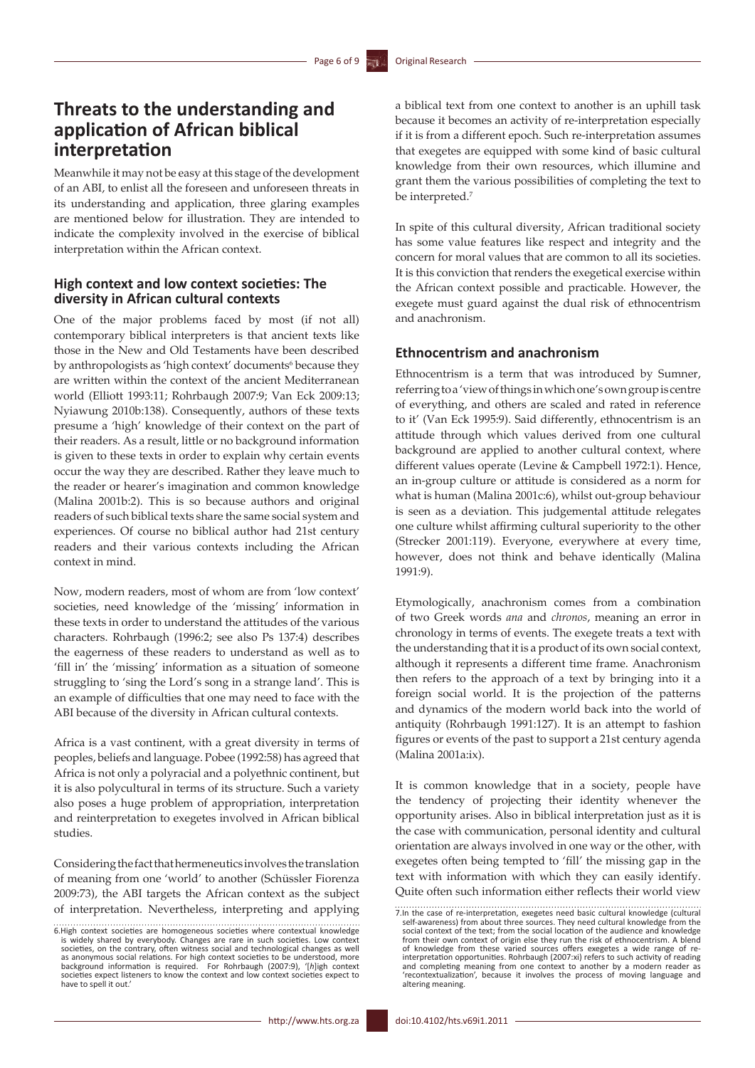## **Threats to the understanding and application of African biblical interpretation**

Meanwhile it may not be easy at this stage of the development of an ABI, to enlist all the foreseen and unforeseen threats in its understanding and application, three glaring examples are mentioned below for illustration. They are intended to indicate the complexity involved in the exercise of biblical interpretation within the African context.

### **High context and low context societies: The diversity in African cultural contexts**

One of the major problems faced by most (if not all) contemporary biblical interpreters is that ancient texts like those in the New and Old Testaments have been described by anthropologists as 'high context' documents<sup>6</sup> because they are written within the context of the ancient Mediterranean world (Elliott 1993:11; Rohrbaugh 2007:9; Van Eck 2009:13; Nyiawung 2010b:138). Consequently, authors of these texts presume a 'high' knowledge of their context on the part of their readers. As a result, little or no background information is given to these texts in order to explain why certain events occur the way they are described. Rather they leave much to the reader or hearer's imagination and common knowledge (Malina 2001b:2). This is so because authors and original readers of such biblical texts share the same social system and experiences. Of course no biblical author had 21st century readers and their various contexts including the African context in mind.

Now, modern readers, most of whom are from 'low context' societies, need knowledge of the 'missing' information in these texts in order to understand the attitudes of the various characters. Rohrbaugh (1996:2; see also Ps 137:4) describes the eagerness of these readers to understand as well as to 'fill in' the 'missing' information as a situation of someone struggling to 'sing the Lord's song in a strange land'. This is an example of difficulties that one may need to face with the ABI because of the diversity in African cultural contexts.

Africa is a vast continent, with a great diversity in terms of peoples, beliefs and language. Pobee (1992:58) has agreed that Africa is not only a polyracial and a polyethnic continent, but it is also polycultural in terms of its structure. Such a variety also poses a huge problem of appropriation, interpretation and reinterpretation to exegetes involved in African biblical studies.

Considering the fact that hermeneutics involves the translation of meaning from one 'world' to another (Schüssler Fiorenza 2009:73), the ABI targets the African context as the subject of interpretation. Nevertheless, interpreting and applying

a biblical text from one context to another is an uphill task because it becomes an activity of re-interpretation especially if it is from a different epoch. Such re-interpretation assumes that exegetes are equipped with some kind of basic cultural knowledge from their own resources, which illumine and grant them the various possibilities of completing the text to be interpreted.<sup>7</sup>

In spite of this cultural diversity, African traditional society has some value features like respect and integrity and the concern for moral values that are common to all its societies. It is this conviction that renders the exegetical exercise within the African context possible and practicable. However, the exegete must guard against the dual risk of ethnocentrism and anachronism.

### **Ethnocentrism and anachronism**

Ethnocentrism is a term that was introduced by Sumner, referring to a 'view of things in which one's own group is centre of everything, and others are scaled and rated in reference to it' (Van Eck 1995:9). Said differently, ethnocentrism is an attitude through which values derived from one cultural background are applied to another cultural context, where different values operate (Levine & Campbell 1972:1). Hence, an in-group culture or attitude is considered as a norm for what is human (Malina 2001c:6), whilst out-group behaviour is seen as a deviation. This judgemental attitude relegates one culture whilst affirming cultural superiority to the other (Strecker 2001:119). Everyone, everywhere at every time, however, does not think and behave identically (Malina 1991:9).

Etymologically, anachronism comes from a combination of two Greek words *ana* and *chronos*, meaning an error in chronology in terms of events. The exegete treats a text with the understanding that it is a product of its own social context, although it represents a different time frame. Anachronism then refers to the approach of a text by bringing into it a foreign social world. It is the projection of the patterns and dynamics of the modern world back into the world of antiquity (Rohrbaugh 1991:127). It is an attempt to fashion figures or events of the past to support a 21st century agenda (Malina 2001a:ix).

It is common knowledge that in a society, people have the tendency of projecting their identity whenever the opportunity arises. Also in biblical interpretation just as it is the case with communication, personal identity and cultural orientation are always involved in one way or the other, with exegetes often being tempted to 'fill' the missing gap in the text with information with which they can easily identify. Quite often such information either reflects their world view

<sup>6.</sup>High context societies are homogeneous societies where contextual knowledge is widely shared by everybody. Changes are rare in such societies. Low context societies, on the contrary, often witness social and technological changes as well<br>as anonymous social relations. For high context societies to be understood, more<br>background information is required. For Rohrbaugh (2007: societies expect listeners to know the context and low context societies expect to have to spell it out.'

<sup>7.</sup>In the case of re-interpretation, exegetes need basic cultural knowledge (cultural self-awareness) from about three sources. They need cultural knowledge from the social context of the text; from the social location of the audience and knowledge from their own context of origin else they run the risk of ethnocentrism. A blend of knowledge from these varied sources offers exegetes a wide range of re-interpretation opportunities. Rohrbaugh (2007:xi) refers to such activity of reading and completing meaning from one context to another by a modern reader as 'recontextualization', because it involves the process of moving language and altering meaning.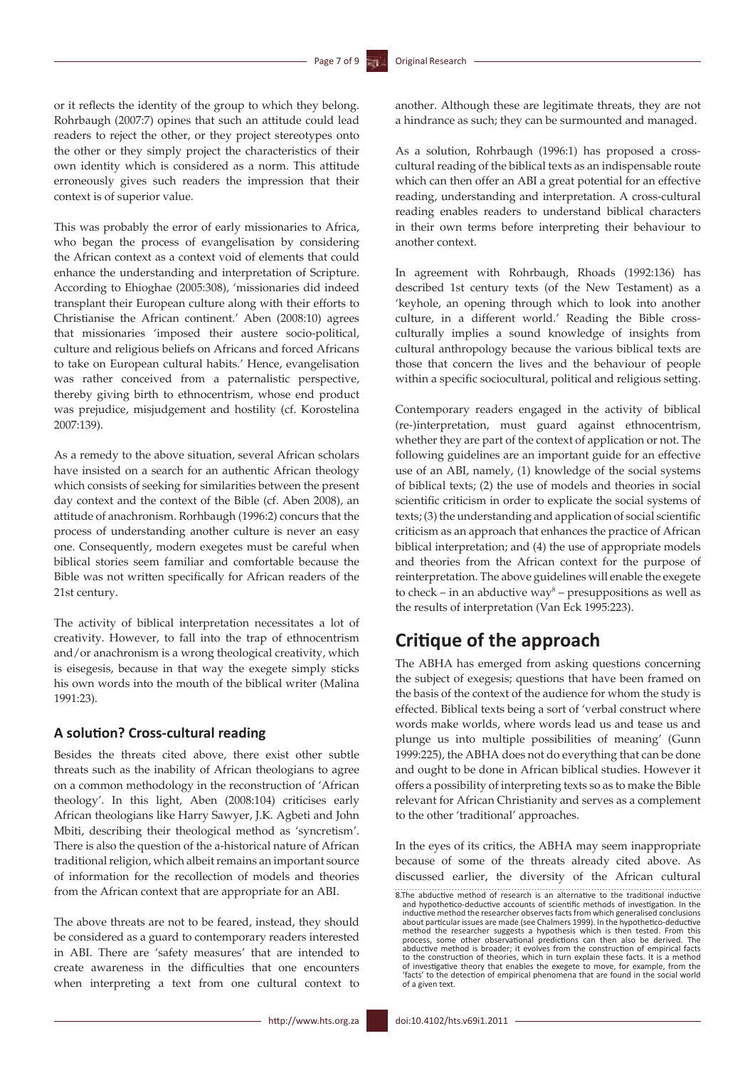or it reflects the identity of the group to which they belong. Rohrbaugh (2007:7) opines that such an attitude could lead readers to reject the other, or they project stereotypes onto the other or they simply project the characteristics of their own identity which is considered as a norm. This attitude erroneously gives such readers the impression that their context is of superior value.

This was probably the error of early missionaries to Africa, who began the process of evangelisation by considering the African context as a context void of elements that could enhance the understanding and interpretation of Scripture. According to Ehioghae (2005:308), 'missionaries did indeed transplant their European culture along with their efforts to Christianise the African continent.' Aben (2008:10) agrees that missionaries 'imposed their austere socio-political, culture and religious beliefs on Africans and forced Africans to take on European cultural habits.' Hence, evangelisation was rather conceived from a paternalistic perspective, thereby giving birth to ethnocentrism, whose end product was prejudice, misjudgement and hostility (cf. Korostelina 2007:139).

As a remedy to the above situation, several African scholars have insisted on a search for an authentic African theology which consists of seeking for similarities between the present day context and the context of the Bible (cf. Aben 2008), an attitude of anachronism. Rorhbaugh (1996:2) concurs that the process of understanding another culture is never an easy one. Consequently, modern exegetes must be careful when biblical stories seem familiar and comfortable because the Bible was not written specifically for African readers of the 21st century.

The activity of biblical interpretation necessitates a lot of creativity. However, to fall into the trap of ethnocentrism and/or anachronism is a wrong theological creativity, which is eisegesis, because in that way the exegete simply sticks his own words into the mouth of the biblical writer (Malina 1991:23).

#### **A solution? Cross-cultural reading**

Besides the threats cited above, there exist other subtle threats such as the inability of African theologians to agree on a common methodology in the reconstruction of 'African theology'. In this light, Aben (2008:104) criticises early African theologians like Harry Sawyer, J.K. Agbeti and John Mbiti, describing their theological method as 'syncretism'. There is also the question of the a-historical nature of African traditional religion, which albeit remains an important source of information for the recollection of models and theories from the African context that are appropriate for an ABI.

The above threats are not to be feared, instead, they should be considered as a guard to contemporary readers interested in ABI. There are 'safety measures' that are intended to create awareness in the difficulties that one encounters when interpreting a text from one cultural context to another. Although these are legitimate threats, they are not a hindrance as such; they can be surmounted and managed.

As a solution, Rohrbaugh (1996:1) has proposed a crosscultural reading of the biblical texts as an indispensable route which can then offer an ABI a great potential for an effective reading, understanding and interpretation. A cross-cultural reading enables readers to understand biblical characters in their own terms before interpreting their behaviour to another context.

In agreement with Rohrbaugh, Rhoads (1992:136) has described 1st century texts (of the New Testament) as a 'keyhole, an opening through which to look into another culture, in a different world.' Reading the Bible crossculturally implies a sound knowledge of insights from cultural anthropology because the various biblical texts are those that concern the lives and the behaviour of people within a specific sociocultural, political and religious setting.

Contemporary readers engaged in the activity of biblical (re-)interpretation, must guard against ethnocentrism, whether they are part of the context of application or not. The following guidelines are an important guide for an effective use of an ABI, namely, (1) knowledge of the social systems of biblical texts; (2) the use of models and theories in social scientific criticism in order to explicate the social systems of texts; (3) the understanding and application of social scientific criticism as an approach that enhances the practice of African biblical interpretation; and (4) the use of appropriate models and theories from the African context for the purpose of reinterpretation. The above guidelines will enable the exegete to check – in an abductive way<sup>8</sup> – presuppositions as well as the results of interpretation (Van Eck 1995:223).

## **Critique of the approach**

The ABHA has emerged from asking questions concerning the subject of exegesis; questions that have been framed on the basis of the context of the audience for whom the study is effected. Biblical texts being a sort of 'verbal construct where words make worlds, where words lead us and tease us and plunge us into multiple possibilities of meaning' (Gunn 1999:225), the ABHA does not do everything that can be done and ought to be done in African biblical studies. However it offers a possibility of interpreting texts so as to make the Bible relevant for African Christianity and serves as a complement to the other 'traditional' approaches.

In the eyes of its critics, the ABHA may seem inappropriate because of some of the threats already cited above. As discussed earlier, the diversity of the African cultural

<sup>8.</sup>The abductive method of research is an alternative to the traditional inductive and hypothetico-deductive accounts of scientific methods of investigation. In the inductive method the researcher observes facts from which generalised conclusions about particular issues are made (see Chalmers 1999). In the hypothetico-deductive method the researcher suggests a hypothesis which is then tested. From this process, some other observational predictions can then also be derived. The abductive method is broader; it evolves from the construction of empirical facts to the construction of theories, which in turn explain these facts. It is a method of investigative theory that enables the exegete to move, for example, from the 'facts' to the detection of empirical phenomena that are found in the social world of a given text.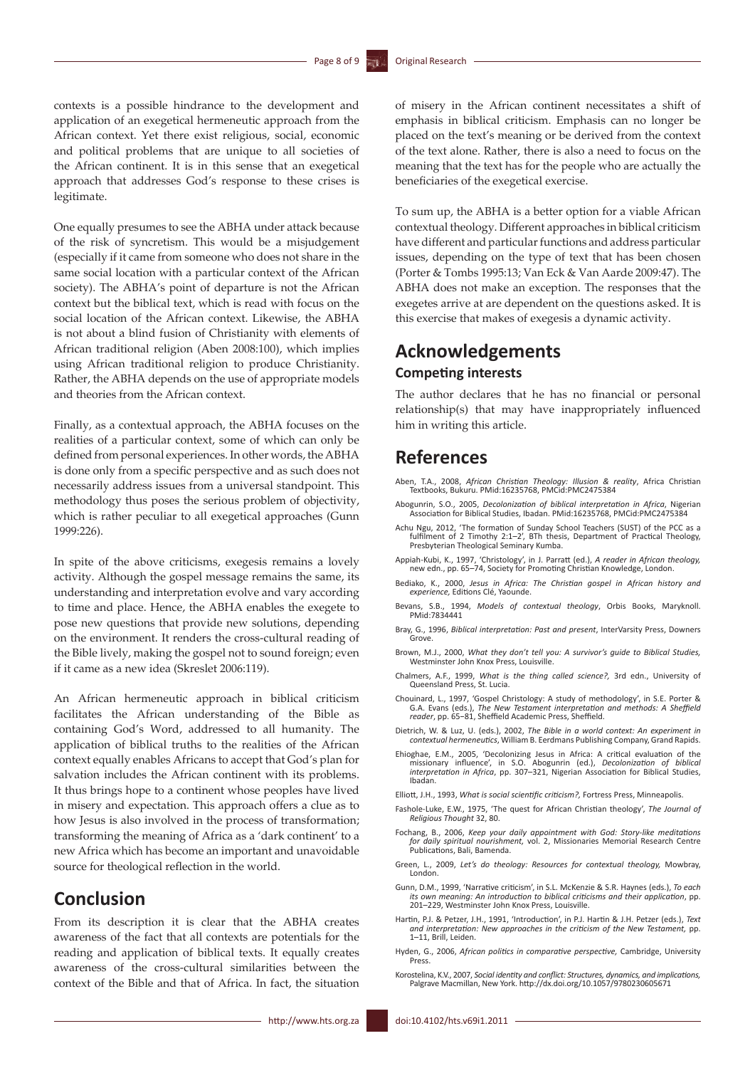contexts is a possible hindrance to the development and application of an exegetical hermeneutic approach from the African context. Yet there exist religious, social, economic and political problems that are unique to all societies of the African continent. It is in this sense that an exegetical approach that addresses God's response to these crises is legitimate.

One equally presumes to see the ABHA under attack because of the risk of syncretism. This would be a misjudgement (especially if it came from someone who does not share in the same social location with a particular context of the African society). The ABHA's point of departure is not the African context but the biblical text, which is read with focus on the social location of the African context. Likewise, the ABHA is not about a blind fusion of Christianity with elements of African traditional religion (Aben 2008:100), which implies using African traditional religion to produce Christianity. Rather, the ABHA depends on the use of appropriate models and theories from the African context.

Finally, as a contextual approach, the ABHA focuses on the realities of a particular context, some of which can only be defined from personal experiences. In other words, the ABHA is done only from a specific perspective and as such does not necessarily address issues from a universal standpoint. This methodology thus poses the serious problem of objectivity, which is rather peculiar to all exegetical approaches (Gunn 1999:226).

In spite of the above criticisms, exegesis remains a lovely activity. Although the gospel message remains the same, its understanding and interpretation evolve and vary according to time and place. Hence, the ABHA enables the exegete to pose new questions that provide new solutions, depending on the environment. It renders the cross-cultural reading of the Bible lively, making the gospel not to sound foreign; even if it came as a new idea (Skreslet 2006:119).

An African hermeneutic approach in biblical criticism facilitates the African understanding of the Bible as containing God's Word, addressed to all humanity. The application of biblical truths to the realities of the African context equally enables Africans to accept that God's plan for salvation includes the African continent with its problems. It thus brings hope to a continent whose peoples have lived in misery and expectation. This approach offers a clue as to how Jesus is also involved in the process of transformation; transforming the meaning of Africa as a 'dark continent' to a new Africa which has become an important and unavoidable source for theological reflection in the world.

## **Conclusion**

From its description it is clear that the ABHA creates awareness of the fact that all contexts are potentials for the reading and application of biblical texts. It equally creates awareness of the cross-cultural similarities between the context of the Bible and that of Africa. In fact, the situation of misery in the African continent necessitates a shift of emphasis in biblical criticism. Emphasis can no longer be placed on the text's meaning or be derived from the context of the text alone. Rather, there is also a need to focus on the meaning that the text has for the people who are actually the beneficiaries of the exegetical exercise.

To sum up, the ABHA is a better option for a viable African contextual theology. Different approaches in biblical criticism have different and particular functions and address particular issues, depending on the type of text that has been chosen (Porter & Tombs 1995:13; Van Eck & Van Aarde 2009:47). The ABHA does not make an exception. The responses that the exegetes arrive at are dependent on the questions asked. It is this exercise that makes of exegesis a dynamic activity.

# **Acknowledgements**

### **Competing interests**

The author declares that he has no financial or personal relationship(s) that may have inappropriately influenced him in writing this article.

### **References**

- Aben, T.A., 2008, *African Christian Theology: Illusion & reality*, Africa Christian Textbooks, Bukuru. PMid:16235768, PMCid:PMC2475384
- Abogunrin, S.O., 2005, *Decolonization of biblical interpretation in Africa*, Nigerian Association for Biblical Studies, Ibadan. PMid:16235768, PMCid:PMC2475384
- Achu Ngu, 2012, 'The formation of Sunday School Teachers (SUST) of the PCC as a fulfilment of 2 Timothy 2:1–2', BTh thesis, Department of Practical Theology, Presbyterian Theological Seminary Kumba.
- Appiah-Kubi, K., 1997, 'Christology', in J. Parratt (ed.), *A reader in African theology,*  new edn., pp. 65–74, Society for Promoting Christian Knowledge, London.
- Bediako, K., 2000, *Jesus in Africa: The Christian gospel in African history and experience,* Editions Clé, Yaounde.
- Bevans, S.B., 1994, *Models of contextual theology*, Orbis Books, Maryknoll. PMid:7834441
- Bray, G., 1996, *Biblical interpretation: Past and present*, InterVarsity Press, Downers Grove.
- Brown, M.J., 2000, *What they don't tell you: A survivor's guide to Biblical Studies,*  Westminster John Knox Press, Louisville.
- Chalmers, A.F., 1999, *What is the thing called science?,* 3rd edn., University of Queensland Press, St. Lucia.
- Chouinard, L., 1997, 'Gospel Christology: A study of methodology', in S.E. Porter & G.A. Evans (eds.), *The New Testament interpretation and methods: A Sheffield reader*, pp. 65−81, Sheffield Academic Press, Sheffield.
- Dietrich, W. & Luz, U. (eds.), 2002, *The Bible in a world context: An experiment in contextual hermeneutics*, William B. Eerdmans Publishing Company, Grand Rapids.
- Ehioghae, E.M., 2005, 'Decolonizing Jesus in Africa: A critical evaluation of the<br>missionary influence', in S.O. Abogunrin (ed.), Decolonization of biblical<br>interpretation in Africa, pp. 307-321, Nigerian Association for B Ibadan.
- Elliott, J.H., 1993, *What is social scientific criticism?,* Fortress Press, Minneapolis.
- Fashole-Luke, E.W., 1975, 'The quest for African Christian theology', *The Journal of Religious Thought* 32, 80.
- Fochang, B., 2006, *Keep your daily appointment with God: Story-like meditations for daily spiritual nourishment,* vol. 2, Missionaries Memorial Research Centre Publications, Bali, Bamenda.
- Green, L., 2009, *Let's do theology: Resources for contextual theology,* Mowbray, London.
- Gunn, D.M., 1999, 'Narrative criticism', in S.L. McKenzie & S.R. Haynes (eds.), *To each i*, *binit*, *1999*, *iditative children, more meaning: and their application*, pp. 201–229, Westminster John Knox Press, Louisville.
- Hartin, P.J. & Petzer, J.H., 1991, 'Introduction', in P.J. Hartin & J.H. Petzer (eds.), *Text and interpretation: New approaches in the criticism of the New Testament,* pp. 1–11, Brill, Leiden.
- Hyden, G., 2006, *African politics in comparative perspective,* Cambridge, University Press.
- Korostelina, K.V., 2007, *Social identity and conflict: Structures, dynamics, and implications,* Palgrave Macmillan, New York. <http://dx.doi.org/10.1057/9780230605671>